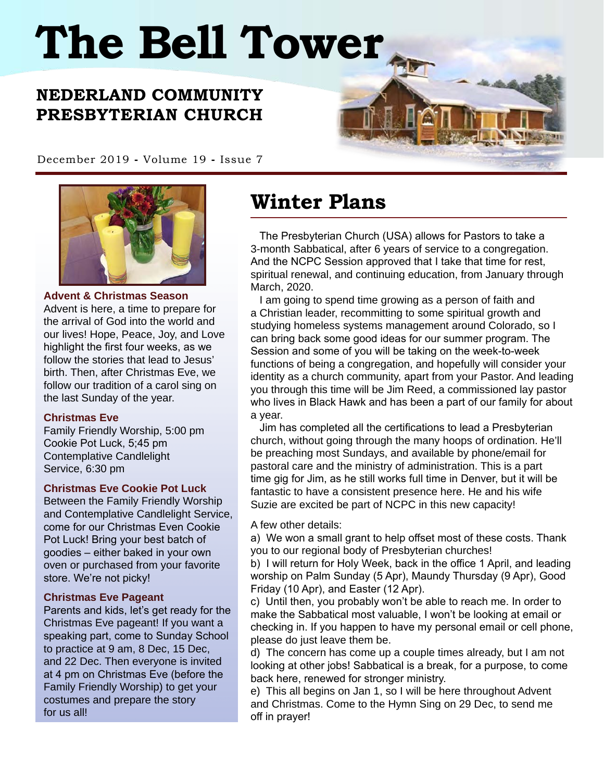# **The Bell Tower**

## **NEDERLAND COMMUNITY PRESBYTERIAN CHURCH**

December 2019 **-** Volume 19 **-** Issue 7



**Advent & Christmas Season**

Advent is here, a time to prepare for the arrival of God into the world and our lives! Hope, Peace, Joy, and Love highlight the first four weeks, as we follow the stories that lead to Jesus' birth. Then, after Christmas Eve, we follow our tradition of a carol sing on the last Sunday of the year.

#### **Christmas Eve**

Family Friendly Worship, 5:00 pm Cookie Pot Luck, 5;45 pm Contemplative Candlelight Service, 6:30 pm

#### **Christmas Eve Cookie Pot Luck**

Between the Family Friendly Worship and Contemplative Candlelight Service, come for our Christmas Even Cookie Pot Luck! Bring your best batch of goodies – either baked in your own oven or purchased from your favorite store. We're not picky!

#### **Christmas Eve Pageant**

Parents and kids, let's get ready for the Christmas Eve pageant! If you want a speaking part, come to Sunday School to practice at 9 am, 8 Dec, 15 Dec, and 22 Dec. Then everyone is invited at 4 pm on Christmas Eve (before the Family Friendly Worship) to get your costumes and prepare the story for us all!

# **Winter Plans**

 The Presbyterian Church (USA) allows for Pastors to take a 3-month Sabbatical, after 6 years of service to a congregation. And the NCPC Session approved that I take that time for rest, spiritual renewal, and continuing education, from January through March, 2020.

 I am going to spend time growing as a person of faith and a Christian leader, recommitting to some spiritual growth and studying homeless systems management around Colorado, so I can bring back some good ideas for our summer program. The Session and some of you will be taking on the week-to-week functions of being a congregation, and hopefully will consider your identity as a church community, apart from your Pastor. And leading you through this time will be Jim Reed, a commissioned lay pastor who lives in Black Hawk and has been a part of our family for about a year.

 Jim has completed all the certifications to lead a Presbyterian church, without going through the many hoops of ordination. He'll be preaching most Sundays, and available by phone/email for pastoral care and the ministry of administration. This is a part time gig for Jim, as he still works full time in Denver, but it will be fantastic to have a consistent presence here. He and his wife Suzie are excited be part of NCPC in this new capacity!

A few other details:

a) We won a small grant to help offset most of these costs. Thank you to our regional body of Presbyterian churches!

b) I will return for Holy Week, back in the office 1 April, and leading worship on Palm Sunday (5 Apr), Maundy Thursday (9 Apr), Good Friday (10 Apr), and Easter (12 Apr).

c) Until then, you probably won't be able to reach me. In order to make the Sabbatical most valuable, I won't be looking at email or checking in. If you happen to have my personal email or cell phone, please do just leave them be.

d) The concern has come up a couple times already, but I am not looking at other jobs! Sabbatical is a break, for a purpose, to come back here, renewed for stronger ministry.

e) This all begins on Jan 1, so I will be here throughout Advent and Christmas. Come to the Hymn Sing on 29 Dec, to send me off in prayer!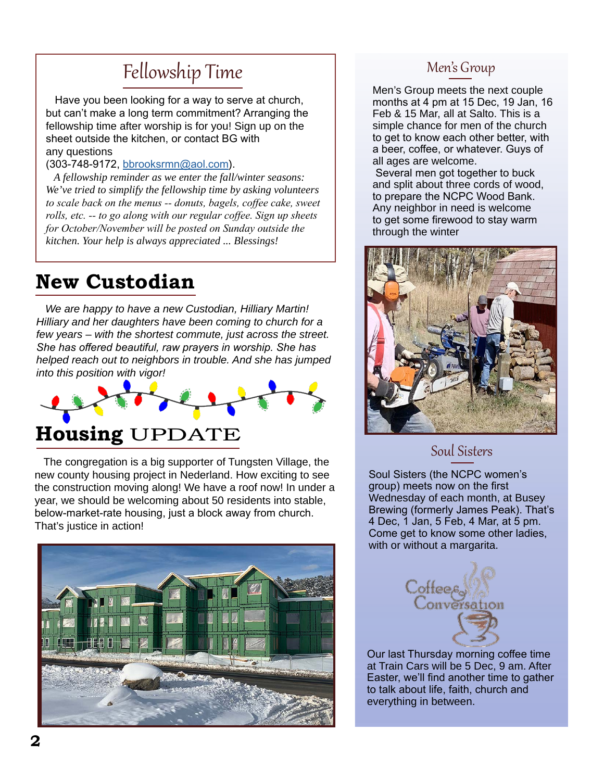# Fellowship Time

 Have you been looking for a way to serve at church, but can't make a long term commitment? Arranging the fellowship time after worship is for you! Sign up on the sheet outside the kitchen, or contact BG with any questions

(303-748-9172, [bbrooksrmn@aol.com](mailto:bbrooksrmn%40aol.com?subject=)).

 *A fellowship reminder as we enter the fall/winter seasons: We've tried to simplify the fellowship time by asking volunteers to scale back on the menus -- donuts, bagels, coffee cake, sweet rolls, etc. -- to go along with our regular coffee. Sign up sheets for October/November will be posted on Sunday outside the kitchen. Your help is always appreciated ... Blessings!*

# **New Custodian**

 *We are happy to have a new Custodian, Hilliary Martin! Hilliary and her daughters have been coming to church for a few years – with the shortest commute, just across the street. She has offered beautiful, raw prayers in worship. She has helped reach out to neighbors in trouble. And she has jumped into this position with vigor!*



 The congregation is a big supporter of Tungsten Village, the new county housing project in Nederland. How exciting to see the construction moving along! We have a roof now! In under a year, we should be welcoming about 50 residents into stable, below-market-rate housing, just a block away from church. That's justice in action!



#### Men's Group

Men's Group meets the next couple months at 4 pm at 15 Dec, 19 Jan, 16 Feb & 15 Mar, all at Salto. This is a simple chance for men of the church to get to know each other better, with a beer, coffee, or whatever. Guys of all ages are welcome.

 Several men got together to buck and split about three cords of wood, to prepare the NCPC Wood Bank. Any neighbor in need is welcome to get some firewood to stay warm through the winter



#### Soul Sisters

Soul Sisters (the NCPC women's group) meets now on the first Wednesday of each month, at Busey Brewing (formerly James Peak). That's 4 Dec, 1 Jan, 5 Feb, 4 Mar, at 5 pm. Come get to know some other ladies, with or without a margarita.



Our last Thursday morning coffee time at Train Cars will be 5 Dec, 9 am. After Easter, we'll find another time to gather to talk about life, faith, church and everything in between.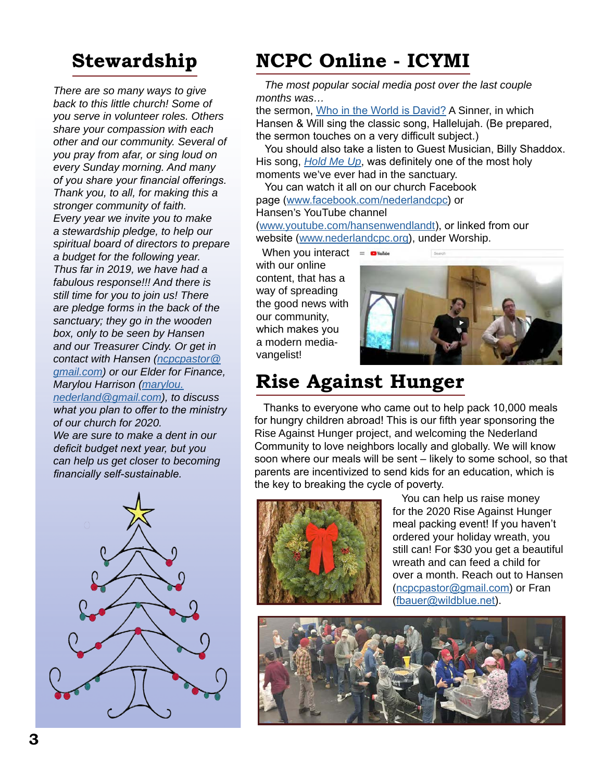*There are so many ways to give back to this little church! Some of you serve in volunteer roles. Others share your compassion with each other and our community. Several of you pray from afar, or sing loud on every Sunday morning. And many of you share your financial offerings. Thank you, to all, for making this a stronger community of faith. Every year we invite you to make a stewardship pledge, to help our spiritual board of directors to prepare a budget for the following year. Thus far in 2019, we have had a fabulous response!!! And there is still time for you to join us! There are pledge forms in the back of the sanctuary; they go in the wooden box, only to be seen by Hansen and our Treasurer Cindy. Or get in contact with Hansen [\(ncpcpastor@](mailto:ncpcpastor%40gmail.com?subject=) [gmail.com\)](mailto:ncpcpastor%40gmail.com?subject=) or our Elder for Finance, Marylou Harrison [\(marylou.](mailto:marylou.nederland%40gmail.com?subject=) [nederland@gmail.com\)](mailto:marylou.nederland%40gmail.com?subject=), to discuss what you plan to offer to the ministry of our church for 2020. We are sure to make a dent in our deficit budget next year, but you can help us get closer to becoming* 



# **Stewardship NCPC Online - ICYMI**

 *The most popular social media post over the last couple months was…* 

the sermon, [Who in the World is David?](https://www.youtube.com/watch?v=8pqcUFFmcME&t=2s) A Sinner, in which Hansen & Will sing the classic song, Hallelujah. (Be prepared, the sermon touches on a very difficult subject.)

 You should also take a listen to Guest Musician, Billy Shaddox. His song, *[Hold Me Up](https://www.youtube.com/watch?v=9-K1CLSSMsU)*, was definitely one of the most holy moments we've ever had in the sanctuary.

 You can watch it all on our church Facebook page ([www.facebook.com/nederlandcpc](http://www.facebook.com/nederlandcpc)) or Hansen's YouTube channel ([www.youtube.com/hansenwendlandt](https://www.youtube.com/user/hansenwendlandt)), or linked from our

website ([www.nederlandcpc.org](http://www.nederlandcpc.org)), under Worship.

 When you interact with our online content, that has a way of spreading the good news with our community, which makes you a modern mediavangelist!



# **Rise Against Hunger**

 Thanks to everyone who came out to help pack 10,000 meals for hungry children abroad! This is our fifth year sponsoring the Rise Against Hunger project, and welcoming the Nederland Community to love neighbors locally and globally. We will know soon where our meals will be sent – likely to some school, so that parents are incentivized to send kids for an education, which is the key to breaking the cycle of poverty.



 You can help us raise money for the 2020 Rise Against Hunger meal packing event! If you haven't ordered your holiday wreath, you still can! For \$30 you get a beautiful wreath and can feed a child for over a month. Reach out to Hansen ([ncpcpastor@gmail.com](mailto:ncpcpastor%40gmail.com?subject=)) or Fran ([fbauer@wildblue.net](mailto:fbauer%40wildblue.net?subject=)).